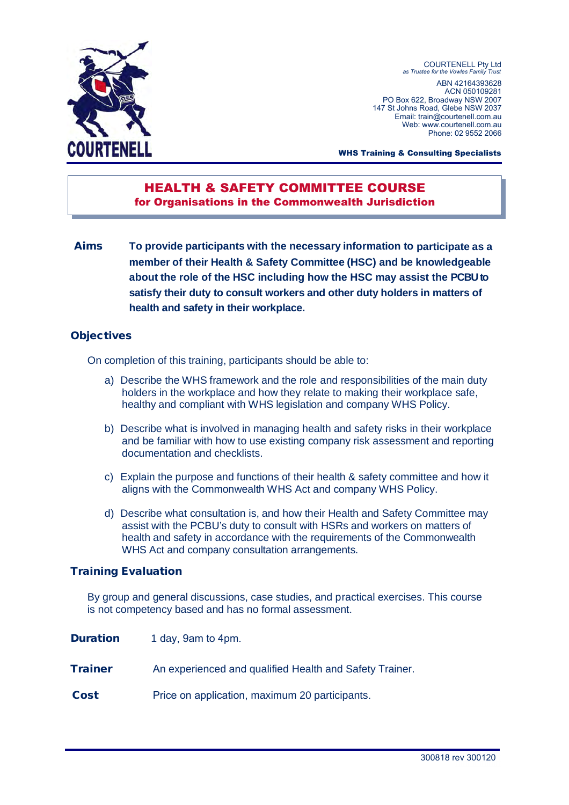

COURTENELL Pty Ltd *as Trustee for the Vowles Family Trust*  ABN 42164393628 ACN 050109281 PO Box 622, Broadway NSW 2007 147 St Johns Road, Glebe NSW 2037 Email: train@courtenell.com.au Web: www.courtenell.com.au. Phone: 02 9552 2066

WHS Training & Consulting Specialists

# HEALTH & SAFETY COMMITTEE COURSE for Organisations in the Commonwealth Jurisdiction

**Aims To provide participants with the necessary information to participate as a member of their Health & Safety Committee (HSC) and be knowledgeable about the role of the HSC including how the HSC may assist the PCBU to satisfy their duty to consult workers and other duty holders in matters of health and safety in their workplace.** 

## **Objectives**

On completion of this training, participants should be able to:

- a) Describe the WHS framework and the role and responsibilities of the main duty holders in the workplace and how they relate to making their workplace safe, healthy and compliant with WHS legislation and company WHS Policy.
- b) Describe what is involved in managing health and safety risks in their workplace and be familiar with how to use existing company risk assessment and reporting documentation and checklists.
- c) Explain the purpose and functions of their health & safety committee and how it aligns with the Commonwealth WHS Act and company WHS Policy.
- d) Describe what consultation is, and how their Health and Safety Committee may assist with the PCBU's duty to consult with HSRs and workers on matters of health and safety in accordance with the requirements of the Commonwealth WHS Act and company consultation arrangements.

#### **Training Evaluation**

By group and general discussions, case studies, and practical exercises. This course is not competency based and has no formal assessment.

| <b>Duration</b> | 1 day, 9am to 4pm.                                      |
|-----------------|---------------------------------------------------------|
| <b>Trainer</b>  | An experienced and qualified Health and Safety Trainer. |
| <b>Cost</b>     | Price on application, maximum 20 participants.          |